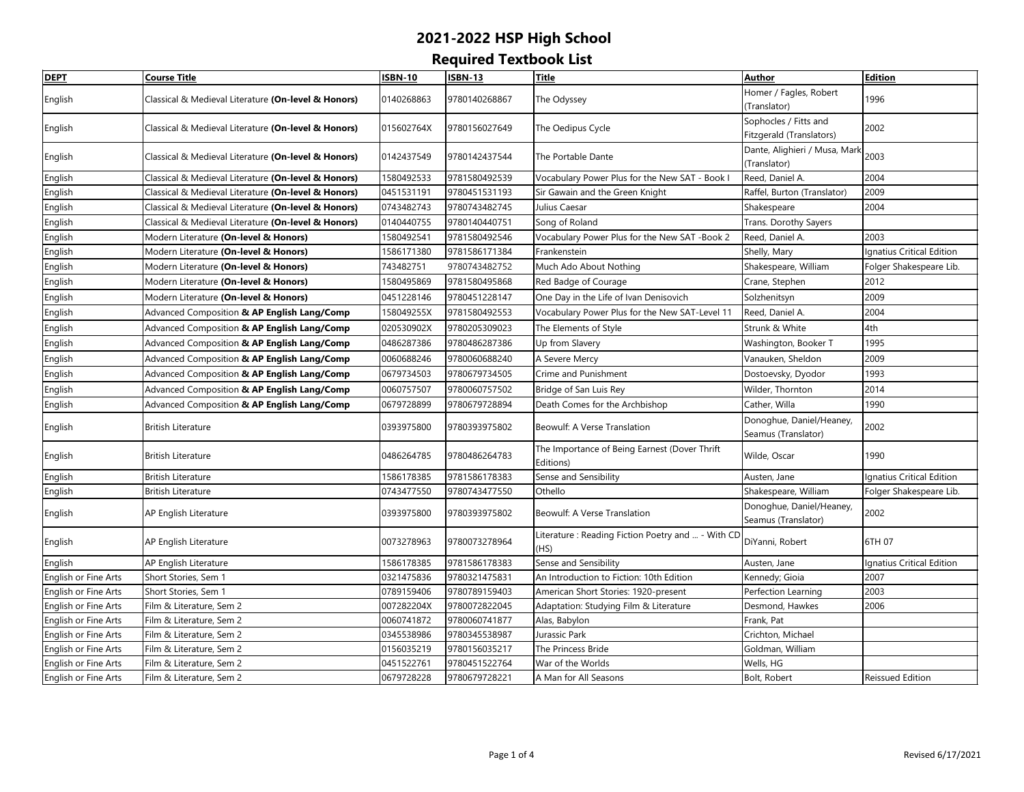| <b>DEPT</b>          | <b>Course Title</b>                                 | <b>ISBN-10</b> | <b>ISBN-13</b> | <b>Title</b>                                      | <b>Author</b>                 | Edition                          |
|----------------------|-----------------------------------------------------|----------------|----------------|---------------------------------------------------|-------------------------------|----------------------------------|
| English              | Classical & Medieval Literature (On-level & Honors) | 0140268863     | 9780140268867  | The Odyssey                                       | Homer / Fagles, Robert        | 1996                             |
|                      |                                                     |                |                |                                                   | (Translator)                  |                                  |
| English              | Classical & Medieval Literature (On-level & Honors) | 015602764X     | 9780156027649  | The Oedipus Cycle                                 | Sophocles / Fitts and         | 2002                             |
|                      |                                                     |                |                |                                                   | Fitzgerald (Translators)      |                                  |
| English              | Classical & Medieval Literature (On-level & Honors) | 0142437549     | 9780142437544  | The Portable Dante                                | Dante, Alighieri / Musa, Mark | 2003                             |
|                      |                                                     |                |                |                                                   | (Translator)                  |                                  |
| English              | Classical & Medieval Literature (On-level & Honors) | 1580492533     | 9781580492539  | Vocabulary Power Plus for the New SAT - Book I    | Reed, Daniel A.               | 2004                             |
| English              | Classical & Medieval Literature (On-level & Honors) | 0451531191     | 9780451531193  | Sir Gawain and the Green Knight                   | Raffel, Burton (Translator)   | 2009                             |
| English              | Classical & Medieval Literature (On-level & Honors) | 0743482743     | 9780743482745  | Julius Caesar                                     | Shakespeare                   | 2004                             |
| English              | Classical & Medieval Literature (On-level & Honors) | 0140440755     | 9780140440751  | Song of Roland                                    | Trans. Dorothy Sayers         |                                  |
| English              | Modern Literature (On-level & Honors)               | 1580492541     | 9781580492546  | Vocabulary Power Plus for the New SAT -Book 2     | Reed, Daniel A.               | 2003                             |
| English              | Modern Literature (On-level & Honors)               | 1586171380     | 9781586171384  | Frankenstein                                      | Shelly, Mary                  | <b>Ignatius Critical Edition</b> |
| English              | Modern Literature (On-level & Honors)               | 743482751      | 9780743482752  | Much Ado About Nothing                            | Shakespeare, William          | Folger Shakespeare Lib.          |
| English              | Modern Literature (On-level & Honors)               | 1580495869     | 9781580495868  | Red Badge of Courage                              | Crane, Stephen                | 2012                             |
| English              | Modern Literature (On-level & Honors)               | 0451228146     | 9780451228147  | One Day in the Life of Ivan Denisovich            | Solzhenitsyn                  | 2009                             |
| English              | Advanced Composition & AP English Lang/Comp         | 158049255X     | 9781580492553  | Vocabulary Power Plus for the New SAT-Level 11    | Reed, Daniel A.               | 2004                             |
| English              | Advanced Composition & AP English Lang/Comp         | 020530902X     | 9780205309023  | The Elements of Style                             | Strunk & White                | 4th                              |
| English              | Advanced Composition & AP English Lang/Comp         | 0486287386     | 9780486287386  | Up from Slavery                                   | Washington, Booker T          | 1995                             |
| English              | Advanced Composition & AP English Lang/Comp         | 0060688246     | 9780060688240  | A Severe Mercy                                    | Vanauken, Sheldon             | 2009                             |
| English              | Advanced Composition & AP English Lang/Comp         | 0679734503     | 9780679734505  | Crime and Punishment                              | Dostoevsky, Dyodor            | 1993                             |
| English              | Advanced Composition & AP English Lang/Comp         | 0060757507     | 9780060757502  | Bridge of San Luis Rey                            | Wilder, Thornton              | 2014                             |
| English              | Advanced Composition & AP English Lang/Comp         | 0679728899     | 9780679728894  | Death Comes for the Archbishop                    | Cather, Willa                 | 1990                             |
|                      | <b>British Literature</b>                           | 0393975800     | 9780393975802  | Beowulf: A Verse Translation                      | Donoghue, Daniel/Heaney,      | 2002                             |
| English              |                                                     |                |                |                                                   | Seamus (Translator)           |                                  |
|                      | <b>British Literature</b>                           | 0486264785     | 9780486264783  | The Importance of Being Earnest (Dover Thrift     |                               | 1990                             |
| English              |                                                     |                |                | Editions)                                         | Wilde, Oscar                  |                                  |
| English              | <b>British Literature</b>                           | 1586178385     | 9781586178383  | Sense and Sensibility                             | Austen, Jane                  | Ignatius Critical Edition        |
| English              | <b>British Literature</b>                           | 0743477550     | 9780743477550  | Othello                                           | Shakespeare, William          | Folger Shakespeare Lib.          |
|                      | AP English Literature                               | 0393975800     | 9780393975802  | Beowulf: A Verse Translation                      | Donoghue, Daniel/Heaney,      | 2002                             |
| English              |                                                     |                |                |                                                   | Seamus (Translator)           |                                  |
| English              | AP English Literature                               | 0073278963     | 9780073278964  | Literature: Reading Fiction Poetry and  - With CD | DiYanni, Robert               | 6TH 07                           |
|                      |                                                     |                |                | (HS)                                              |                               |                                  |
| English              | AP English Literature                               | 1586178385     | 9781586178383  | Sense and Sensibility                             | Austen, Jane                  | Ignatius Critical Edition        |
| English or Fine Arts | Short Stories, Sem 1                                | 0321475836     | 9780321475831  | An Introduction to Fiction: 10th Edition          | Kennedy; Gioia                | 2007                             |
| English or Fine Arts | Short Stories, Sem 1                                | 0789159406     | 9780789159403  | American Short Stories: 1920-present              | Perfection Learning           | 2003                             |
| English or Fine Arts | Film & Literature, Sem 2                            | 007282204X     | 9780072822045  | Adaptation: Studying Film & Literature            | Desmond, Hawkes               | 2006                             |
| English or Fine Arts | Film & Literature, Sem 2                            | 0060741872     | 9780060741877  | Alas, Babylon                                     | Frank, Pat                    |                                  |
| English or Fine Arts | Film & Literature, Sem 2                            | 0345538986     | 9780345538987  | Jurassic Park                                     | Crichton, Michael             |                                  |
| English or Fine Arts | Film & Literature, Sem 2                            | 0156035219     | 9780156035217  | The Princess Bride                                | Goldman, William              |                                  |
| English or Fine Arts | Film & Literature, Sem 2                            | 0451522761     | 9780451522764  | War of the Worlds                                 | Wells, HG                     |                                  |
| English or Fine Arts | Film & Literature, Sem 2                            | 0679728228     | 9780679728221  | A Man for All Seasons                             | Bolt, Robert                  | Reissued Edition                 |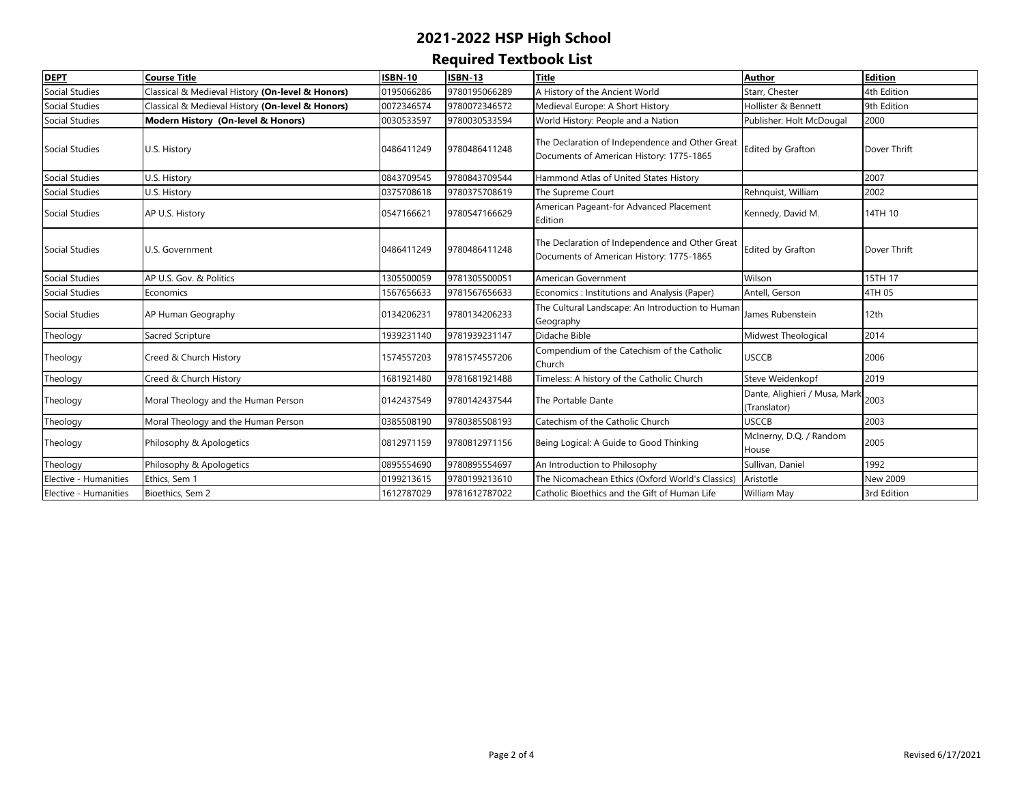| <b>DEPT</b>           | Course Title                                     | <b>ISBN-10</b> | <b>ISBN-13</b> | <b>Title</b>                                                                                | <b>Author</b>                                 | <b>Edition</b>  |
|-----------------------|--------------------------------------------------|----------------|----------------|---------------------------------------------------------------------------------------------|-----------------------------------------------|-----------------|
| Social Studies        | Classical & Medieval History (On-level & Honors) | 0195066286     | 9780195066289  | A History of the Ancient World                                                              | Starr, Chester                                | 4th Edition     |
| Social Studies        | Classical & Medieval History (On-level & Honors) | 0072346574     | 9780072346572  | Medieval Europe: A Short History                                                            | Hollister & Bennett                           | 9th Edition     |
| Social Studies        | Modern History (On-level & Honors)               | 0030533597     | 9780030533594  | World History: People and a Nation                                                          | Publisher: Holt McDougal                      | 2000            |
| Social Studies        | U.S. History                                     | 0486411249     | 9780486411248  | The Declaration of Independence and Other Great<br>Documents of American History: 1775-1865 | <b>Edited by Grafton</b>                      | Dover Thrift    |
| Social Studies        | U.S. History                                     | 0843709545     | 9780843709544  | Hammond Atlas of United States History                                                      |                                               | 2007            |
| Social Studies        | J.S. History                                     | 0375708618     | 9780375708619  | The Supreme Court                                                                           | Rehnquist, William                            | 2002            |
| Social Studies        | AP U.S. History                                  | 0547166621     | 9780547166629  | American Pageant-for Advanced Placement<br>Edition                                          | Kennedy, David M.                             | 14TH 10         |
| Social Studies        | U.S. Government                                  | 0486411249     | 9780486411248  | The Declaration of Independence and Other Great<br>Documents of American History: 1775-1865 | <b>Edited by Grafton</b>                      | Dover Thrift    |
| Social Studies        | AP U.S. Gov. & Politics                          | 1305500059     | 9781305500051  | American Government                                                                         | Wilson                                        | 15TH 17         |
| <b>Social Studies</b> | Economics                                        | 1567656633     | 9781567656633  | Economics : Institutions and Analysis (Paper)                                               | Antell, Gerson                                | 4TH 05          |
| Social Studies        | AP Human Geography                               | 0134206231     | 9780134206233  | The Cultural Landscape: An Introduction to Human<br>Geography                               | James Rubenstein                              | 12th            |
| Theology              | Sacred Scripture                                 | 1939231140     | 9781939231147  | Didache Bible                                                                               | Midwest Theological                           | 2014            |
| Theology              | Creed & Church History                           | 1574557203     | 9781574557206  | Compendium of the Catechism of the Catholic<br>Church                                       | <b>USCCB</b>                                  | 2006            |
| Theology              | Creed & Church History                           | 1681921480     | 9781681921488  | Timeless: A history of the Catholic Church                                                  | Steve Weidenkopf                              | 2019            |
| Theology              | Moral Theology and the Human Person              | 0142437549     | 9780142437544  | The Portable Dante                                                                          | Dante, Alighieri / Musa, Mark<br>(Translator) | 2003            |
| Theology              | Moral Theology and the Human Person              | 0385508190     | 9780385508193  | Catechism of the Catholic Church                                                            | <b>USCCB</b>                                  | 2003            |
| Theology              | Philosophy & Apologetics                         | 0812971159     | 9780812971156  | Being Logical: A Guide to Good Thinking                                                     | McInerny, D.Q. / Random<br>House              | 2005            |
| Theology              | Philosophy & Apologetics                         | 0895554690     | 9780895554697  | An Introduction to Philosophy                                                               | Sullivan, Daniel                              | 1992            |
| Elective - Humanities | Ethics, Sem 1                                    | 0199213615     | 9780199213610  | The Nicomachean Ethics (Oxford World's Classics)                                            | Aristotle                                     | <b>New 2009</b> |
| Elective - Humanities | Bioethics, Sem 2                                 | 1612787029     | 9781612787022  | Catholic Bioethics and the Gift of Human Life                                               | William May                                   | 3rd Edition     |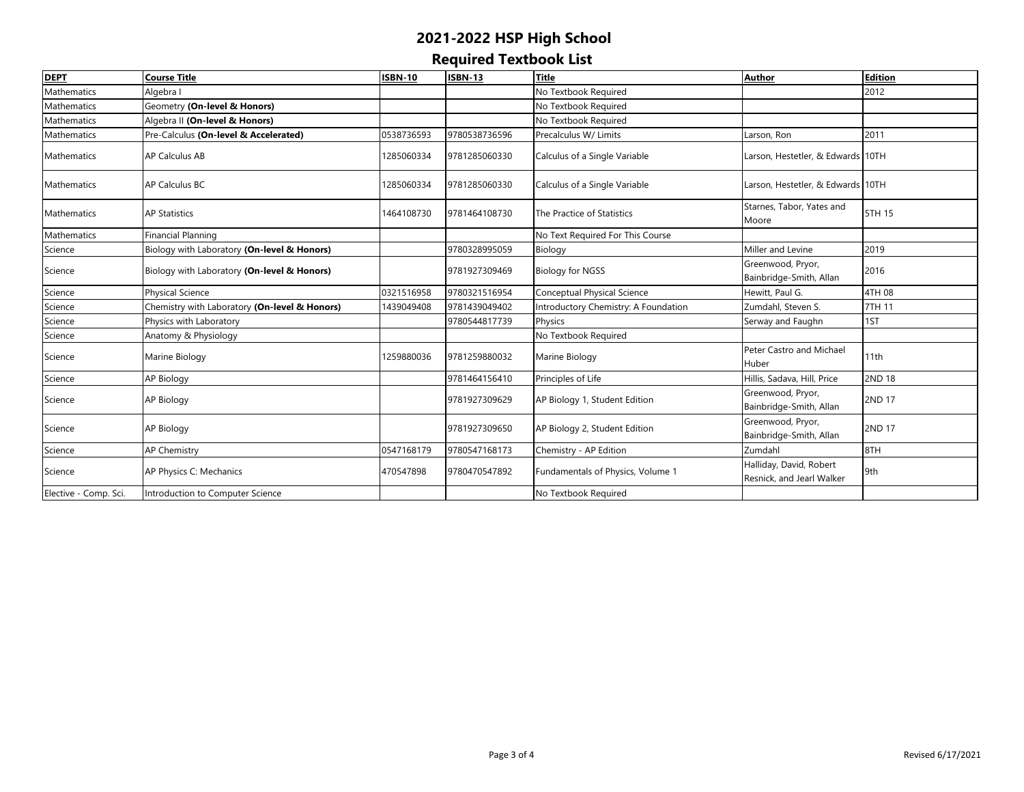| <b>DEPT</b>           | <b>Course Title</b>                           | <b>ISBN-10</b> | <b>ISBN-13</b> | <b>Title</b>                         | <b>Author</b>                                        | <b>Edition</b> |
|-----------------------|-----------------------------------------------|----------------|----------------|--------------------------------------|------------------------------------------------------|----------------|
| Mathematics           | Algebra I                                     |                |                | No Textbook Required                 |                                                      | 2012           |
| <b>Mathematics</b>    | Geometry (On-level & Honors)                  |                |                | No Textbook Required                 |                                                      |                |
| Mathematics           | Algebra II (On-level & Honors)                |                |                | No Textbook Required                 |                                                      |                |
| Mathematics           | Pre-Calculus (On-level & Accelerated)         | 0538736593     | 9780538736596  | Precalculus W/ Limits                | Larson, Ron                                          | 2011           |
| <b>Mathematics</b>    | <b>AP Calculus AB</b>                         | 1285060334     | 9781285060330  | Calculus of a Single Variable        | Larson, Hestetler, & Edwards 10TH                    |                |
| Mathematics           | AP Calculus BC                                | 1285060334     | 9781285060330  | Calculus of a Single Variable        | Larson, Hestetler, & Edwards 10TH                    |                |
| <b>Mathematics</b>    | <b>AP Statistics</b>                          | 1464108730     | 9781464108730  | The Practice of Statistics           | Starnes, Tabor, Yates and<br>Moore                   | 5TH 15         |
| Mathematics           | <b>Financial Planning</b>                     |                |                | No Text Required For This Course     |                                                      |                |
| Science               | Biology with Laboratory (On-level & Honors)   |                | 9780328995059  | Biology                              | Miller and Levine                                    | 2019           |
| Science               | Biology with Laboratory (On-level & Honors)   |                | 9781927309469  | <b>Biology for NGSS</b>              | Greenwood, Pryor,<br>Bainbridge-Smith, Allan         | 2016           |
| Science               | <b>Physical Science</b>                       | 0321516958     | 9780321516954  | Conceptual Physical Science          | Hewitt, Paul G.                                      | 4TH 08         |
| Science               | Chemistry with Laboratory (On-level & Honors) | 1439049408     | 9781439049402  | Introductory Chemistry: A Foundation | Zumdahl, Steven S.                                   | 7TH 11         |
| Science               | Physics with Laboratory                       |                | 9780544817739  | Physics                              | Serway and Faughn                                    | 1ST            |
| Science               | Anatomy & Physiology                          |                |                | No Textbook Required                 |                                                      |                |
| Science               | Marine Biology                                | 1259880036     | 9781259880032  | Marine Biology                       | Peter Castro and Michael<br>Huber                    | 11th           |
| Science               | <b>AP Biology</b>                             |                | 9781464156410  | Principles of Life                   | Hillis, Sadava, Hill, Price                          | 2ND 18         |
| Science               | <b>AP Biology</b>                             |                | 9781927309629  | AP Biology 1, Student Edition        | Greenwood, Pryor,<br>Bainbridge-Smith, Allan         | 2ND 17         |
| Science               | AP Biology                                    |                | 9781927309650  | AP Biology 2, Student Edition        | Greenwood, Pryor,<br>Bainbridge-Smith, Allan         | <b>2ND 17</b>  |
| Science               | <b>AP Chemistry</b>                           | 0547168179     | 9780547168173  | Chemistry - AP Edition               | Zumdahl                                              | 8TH            |
| Science               | AP Physics C: Mechanics                       | 470547898      | 9780470547892  | Fundamentals of Physics, Volume 1    | Halliday, David, Robert<br>Resnick, and Jearl Walker | 9th            |
| Elective - Comp. Sci. | Introduction to Computer Science              |                |                | No Textbook Required                 |                                                      |                |